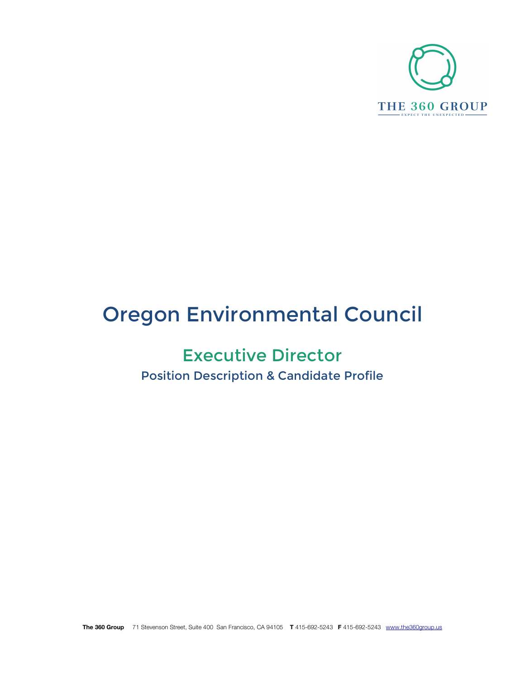

# Oregon Environmental Council

## Executive Director

Position Description & Candidate Profile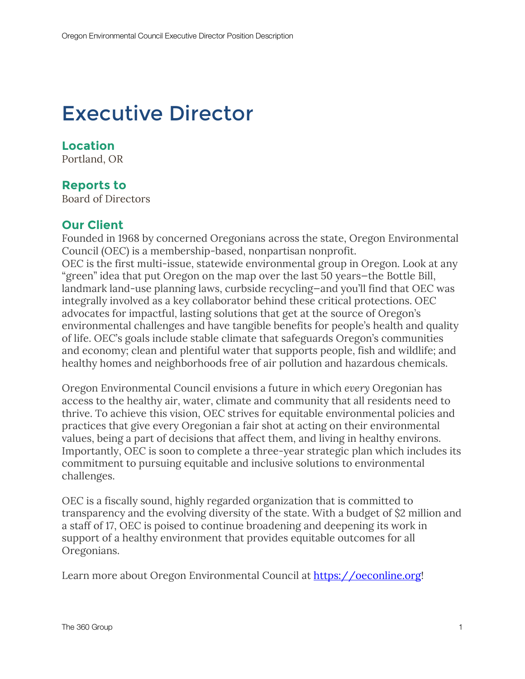## Executive Director

## **Location**

Portland, OR

### **Reports to**

Board of Directors

### **Our Client**

Founded in 1968 by concerned Oregonians across the state, Oregon Environmental Council (OEC) is a membership-based, nonpartisan nonprofit. OEC is the first multi-issue, statewide environmental group in Oregon. Look at any "green" idea that put Oregon on the map over the last 50 years—the Bottle Bill, landmark land-use planning laws, curbside recycling—and you'll find that OEC was integrally involved as a key collaborator behind these critical protections. OEC advocates for impactful, lasting solutions that get at the source of Oregon's environmental challenges and have tangible benefits for people's health and quality of life. OEC's goals include stable climate that safeguards Oregon's communities and economy; clean and plentiful water that supports people, fish and wildlife; and healthy homes and neighborhoods free of air pollution and hazardous chemicals.

Oregon Environmental Council envisions a future in which *every* Oregonian has access to the healthy air, water, climate and community that all residents need to thrive. To achieve this vision, OEC strives for equitable environmental policies and practices that give every Oregonian a fair shot at acting on their environmental values, being a part of decisions that affect them, and living in healthy environs. Importantly, OEC is soon to complete a three-year strategic plan which includes its commitment to pursuing equitable and inclusive solutions to environmental challenges.

OEC is a fiscally sound, highly regarded organization that is committed to transparency and the evolving diversity of the state. With a budget of \$2 million and a staff of 17, OEC is poised to continue broadening and deepening its work in support of a healthy environment that provides equitable outcomes for all Oregonians.

Learn more about Oregon Environmental Council at https://oeconline.org!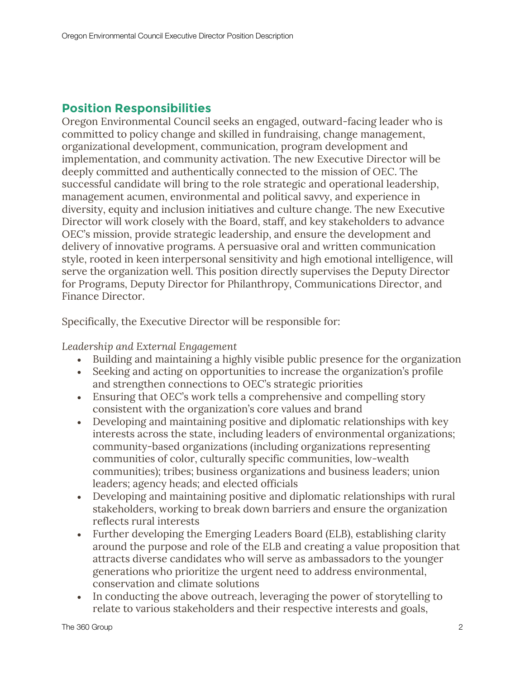## **Position Responsibilities**

Oregon Environmental Council seeks an engaged, outward-facing leader who is committed to policy change and skilled in fundraising, change management, organizational development, communication, program development and implementation, and community activation. The new Executive Director will be deeply committed and authentically connected to the mission of OEC. The successful candidate will bring to the role strategic and operational leadership, management acumen, environmental and political savvy, and experience in diversity, equity and inclusion initiatives and culture change. The new Executive Director will work closely with the Board, staff, and key stakeholders to advance OEC's mission, provide strategic leadership, and ensure the development and delivery of innovative programs. A persuasive oral and written communication style, rooted in keen interpersonal sensitivity and high emotional intelligence, will serve the organization well. This position directly supervises the Deputy Director for Programs, Deputy Director for Philanthropy, Communications Director, and Finance Director.

Specifically, the Executive Director will be responsible for:

*Leadership and External Engagement*

- Building and maintaining a highly visible public presence for the organization
- Seeking and acting on opportunities to increase the organization's profile and strengthen connections to OEC's strategic priorities
- Ensuring that OEC's work tells a comprehensive and compelling story consistent with the organization's core values and brand
- Developing and maintaining positive and diplomatic relationships with key interests across the state, including leaders of environmental organizations; community-based organizations (including organizations representing communities of color, culturally specific communities, low-wealth communities); tribes; business organizations and business leaders; union leaders; agency heads; and elected officials
- Developing and maintaining positive and diplomatic relationships with rural stakeholders, working to break down barriers and ensure the organization reflects rural interests
- Further developing the Emerging Leaders Board (ELB), establishing clarity around the purpose and role of the ELB and creating a value proposition that attracts diverse candidates who will serve as ambassadors to the younger generations who prioritize the urgent need to address environmental, conservation and climate solutions
- In conducting the above outreach, leveraging the power of storytelling to relate to various stakeholders and their respective interests and goals,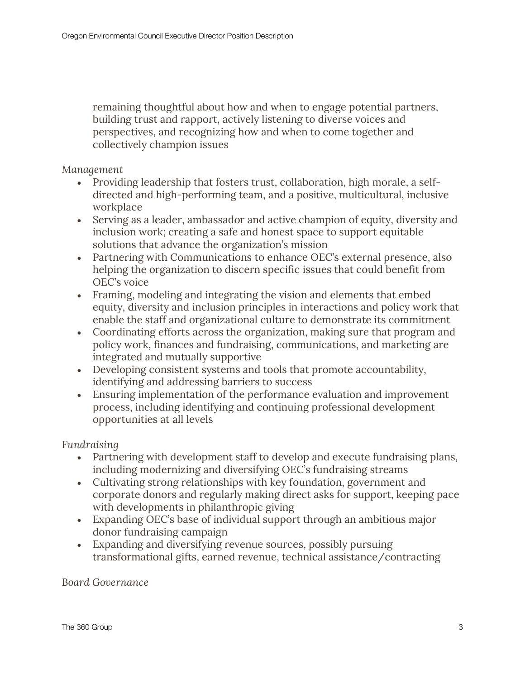remaining thoughtful about how and when to engage potential partners, building trust and rapport, actively listening to diverse voices and perspectives, and recognizing how and when to come together and collectively champion issues

#### *Management*

- Providing leadership that fosters trust, collaboration, high morale, a selfdirected and high-performing team, and a positive, multicultural, inclusive workplace
- Serving as a leader, ambassador and active champion of equity, diversity and inclusion work; creating a safe and honest space to support equitable solutions that advance the organization's mission
- Partnering with Communications to enhance OEC's external presence, also helping the organization to discern specific issues that could benefit from OEC's voice
- Framing, modeling and integrating the vision and elements that embed equity, diversity and inclusion principles in interactions and policy work that enable the staff and organizational culture to demonstrate its commitment
- Coordinating efforts across the organization, making sure that program and policy work, finances and fundraising, communications, and marketing are integrated and mutually supportive
- Developing consistent systems and tools that promote accountability, identifying and addressing barriers to success
- Ensuring implementation of the performance evaluation and improvement process, including identifying and continuing professional development opportunities at all levels

#### *Fundraising*

- Partnering with development staff to develop and execute fundraising plans, including modernizing and diversifying OEC's fundraising streams
- Cultivating strong relationships with key foundation, government and corporate donors and regularly making direct asks for support, keeping pace with developments in philanthropic giving
- Expanding OEC's base of individual support through an ambitious major donor fundraising campaign
- Expanding and diversifying revenue sources, possibly pursuing transformational gifts, earned revenue, technical assistance/contracting

#### *Board Governance*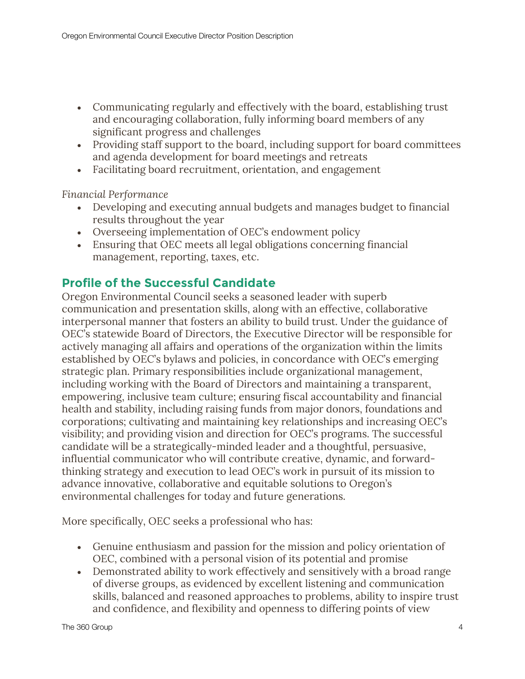- Communicating regularly and effectively with the board, establishing trust and encouraging collaboration, fully informing board members of any significant progress and challenges
- Providing staff support to the board, including support for board committees and agenda development for board meetings and retreats
- Facilitating board recruitment, orientation, and engagement

*Financial Performance*

- Developing and executing annual budgets and manages budget to financial results throughout the year
- Overseeing implementation of OEC's endowment policy
- Ensuring that OEC meets all legal obligations concerning financial management, reporting, taxes, etc.

## **Profile of the Successful Candidate**

Oregon Environmental Council seeks a seasoned leader with superb communication and presentation skills, along with an effective, collaborative interpersonal manner that fosters an ability to build trust. Under the guidance of OEC's statewide Board of Directors, the Executive Director will be responsible for actively managing all affairs and operations of the organization within the limits established by OEC's bylaws and policies, in concordance with OEC's emerging strategic plan. Primary responsibilities include organizational management, including working with the Board of Directors and maintaining a transparent, empowering, inclusive team culture; ensuring fiscal accountability and financial health and stability, including raising funds from major donors, foundations and corporations; cultivating and maintaining key relationships and increasing OEC's visibility; and providing vision and direction for OEC's programs. The successful candidate will be a strategically-minded leader and a thoughtful, persuasive, influential communicator who will contribute creative, dynamic, and forwardthinking strategy and execution to lead OEC's work in pursuit of its mission to advance innovative, collaborative and equitable solutions to Oregon's environmental challenges for today and future generations.

More specifically, OEC seeks a professional who has:

- Genuine enthusiasm and passion for the mission and policy orientation of OEC, combined with a personal vision of its potential and promise
- Demonstrated ability to work effectively and sensitively with a broad range of diverse groups, as evidenced by excellent listening and communication skills, balanced and reasoned approaches to problems, ability to inspire trust and confidence, and flexibility and openness to differing points of view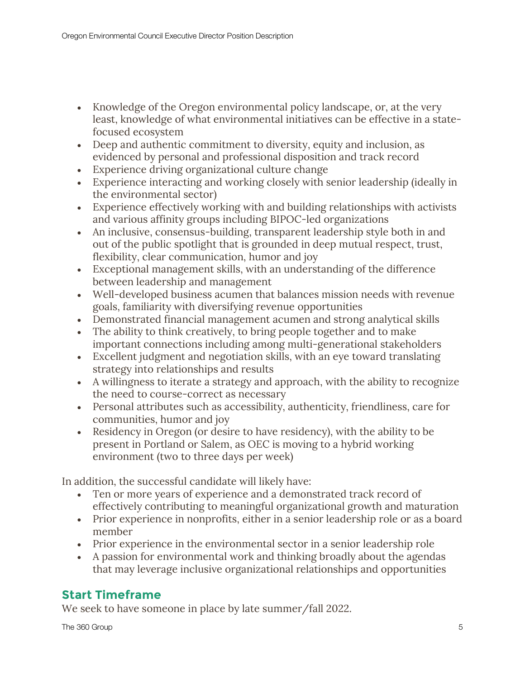- Knowledge of the Oregon environmental policy landscape, or, at the very least, knowledge of what environmental initiatives can be effective in a statefocused ecosystem
- Deep and authentic commitment to diversity, equity and inclusion, as evidenced by personal and professional disposition and track record
- Experience driving organizational culture change
- Experience interacting and working closely with senior leadership (ideally in the environmental sector)
- Experience effectively working with and building relationships with activists and various affinity groups including BIPOC-led organizations
- An inclusive, consensus-building, transparent leadership style both in and out of the public spotlight that is grounded in deep mutual respect, trust, flexibility, clear communication, humor and joy
- Exceptional management skills, with an understanding of the difference between leadership and management
- Well-developed business acumen that balances mission needs with revenue goals, familiarity with diversifying revenue opportunities
- Demonstrated financial management acumen and strong analytical skills
- The ability to think creatively, to bring people together and to make important connections including among multi-generational stakeholders
- Excellent judgment and negotiation skills, with an eye toward translating strategy into relationships and results
- A willingness to iterate a strategy and approach, with the ability to recognize the need to course-correct as necessary
- Personal attributes such as accessibility, authenticity, friendliness, care for communities, humor and joy
- Residency in Oregon (or desire to have residency), with the ability to be present in Portland or Salem, as OEC is moving to a hybrid working environment (two to three days per week)

In addition, the successful candidate will likely have:

- Ten or more years of experience and a demonstrated track record of effectively contributing to meaningful organizational growth and maturation
- Prior experience in nonprofits, either in a senior leadership role or as a board member
- Prior experience in the environmental sector in a senior leadership role
- A passion for environmental work and thinking broadly about the agendas that may leverage inclusive organizational relationships and opportunities

## **Start Timeframe**

We seek to have someone in place by late summer/fall 2022.

The 360 Group 5